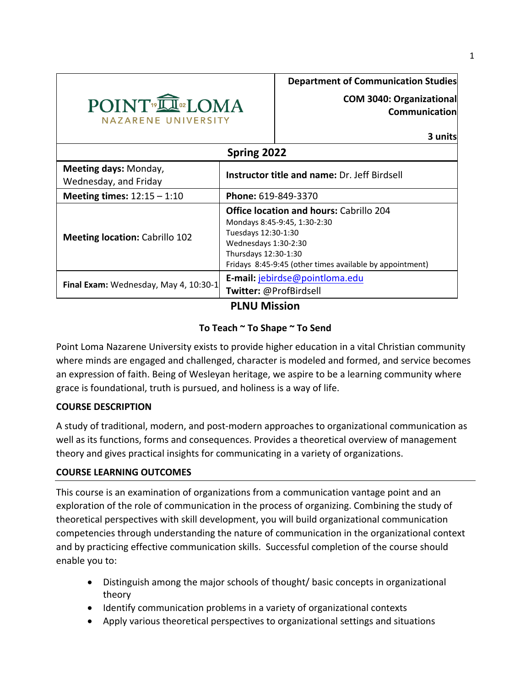

**COM 3040: Organizational Communication**

**3 units**

| Spring 2022                                    |                                                                                                                                                                                                                   |  |  |  |
|------------------------------------------------|-------------------------------------------------------------------------------------------------------------------------------------------------------------------------------------------------------------------|--|--|--|
| Meeting days: Monday,<br>Wednesday, and Friday | <b>Instructor title and name: Dr. Jeff Birdsell</b>                                                                                                                                                               |  |  |  |
| Meeting times: $12:15 - 1:10$                  | Phone: 619-849-3370                                                                                                                                                                                               |  |  |  |
| <b>Meeting location: Cabrillo 102</b>          | <b>Office location and hours: Cabrillo 204</b><br>Mondays 8:45-9:45, 1:30-2:30<br>Tuesdays 12:30-1:30<br>Wednesdays 1:30-2:30<br>Thursdays 12:30-1:30<br>Fridays 8:45-9:45 (other times available by appointment) |  |  |  |
| Final Exam: Wednesday, May 4, 10:30-1          | E-mail: jebirdse@pointloma.edu<br>Twitter: @ProfBirdsell                                                                                                                                                          |  |  |  |

# **PLNU Mission**

# **To Teach ~ To Shape ~ To Send**

Point Loma Nazarene University exists to provide higher education in a vital Christian community where minds are engaged and challenged, character is modeled and formed, and service becomes an expression of faith. Being of Wesleyan heritage, we aspire to be a learning community where grace is foundational, truth is pursued, and holiness is a way of life.

# **COURSE DESCRIPTION**

A study of traditional, modern, and post-modern approaches to organizational communication as well as its functions, forms and consequences. Provides a theoretical overview of management theory and gives practical insights for communicating in a variety of organizations.

# **COURSE LEARNING OUTCOMES**

This course is an examination of organizations from a communication vantage point and an exploration of the role of communication in the process of organizing. Combining the study of theoretical perspectives with skill development, you will build organizational communication competencies through understanding the nature of communication in the organizational context and by practicing effective communication skills. Successful completion of the course should enable you to:

- Distinguish among the major schools of thought/ basic concepts in organizational theory
- Identify communication problems in a variety of organizational contexts
- Apply various theoretical perspectives to organizational settings and situations

1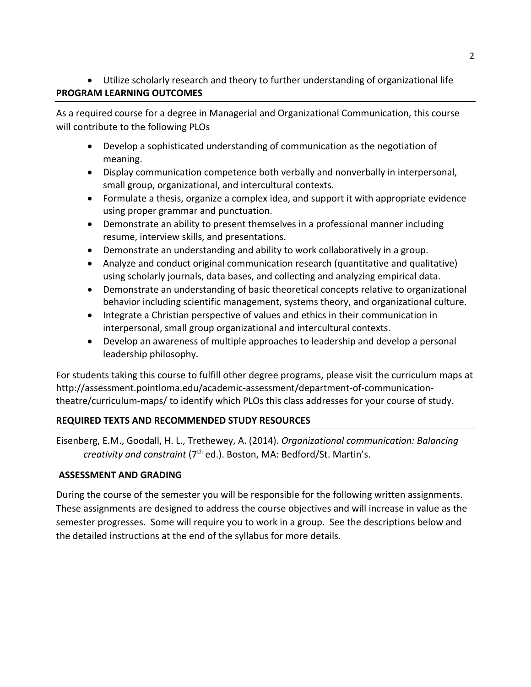# Utilize scholarly research and theory to further understanding of organizational life **PROGRAM LEARNING OUTCOMES**

As a required course for a degree in Managerial and Organizational Communication, this course will contribute to the following PLOs

- Develop a sophisticated understanding of communication as the negotiation of meaning.
- Display communication competence both verbally and nonverbally in interpersonal, small group, organizational, and intercultural contexts.
- Formulate a thesis, organize a complex idea, and support it with appropriate evidence using proper grammar and punctuation.
- Demonstrate an ability to present themselves in a professional manner including resume, interview skills, and presentations.
- Demonstrate an understanding and ability to work collaboratively in a group.
- Analyze and conduct original communication research (quantitative and qualitative) using scholarly journals, data bases, and collecting and analyzing empirical data.
- Demonstrate an understanding of basic theoretical concepts relative to organizational behavior including scientific management, systems theory, and organizational culture.
- Integrate a Christian perspective of values and ethics in their communication in interpersonal, small group organizational and intercultural contexts.
- Develop an awareness of multiple approaches to leadership and develop a personal leadership philosophy.

For students taking this course to fulfill other degree programs, please visit the curriculum maps at http://assessment.pointloma.edu/academic-assessment/department-of-communicationtheatre/curriculum-maps/ to identify which PLOs this class addresses for your course of study.

# **REQUIRED TEXTS AND RECOMMENDED STUDY RESOURCES**

Eisenberg, E.M., Goodall, H. L., Trethewey, A. (2014). *Organizational communication: Balancing creativity and constraint* (7th ed.). Boston, MA: Bedford/St. Martin's.

# **ASSESSMENT AND GRADING**

During the course of the semester you will be responsible for the following written assignments. These assignments are designed to address the course objectives and will increase in value as the semester progresses. Some will require you to work in a group. See the descriptions below and the detailed instructions at the end of the syllabus for more details.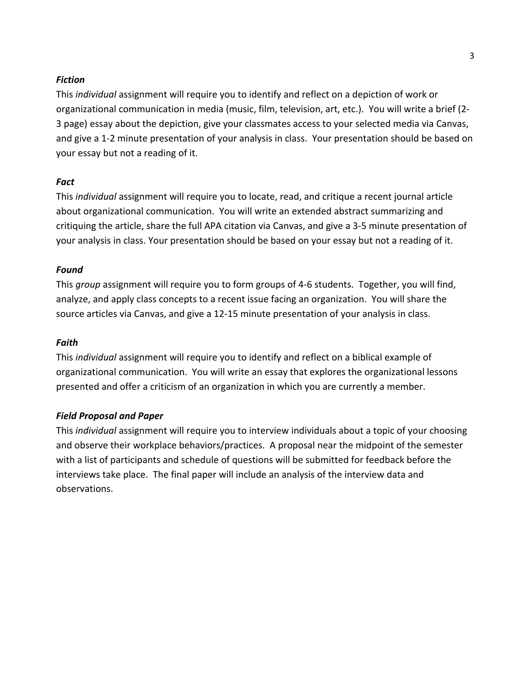### *Fiction*

This *individual* assignment will require you to identify and reflect on a depiction of work or organizational communication in media (music, film, television, art, etc.). You will write a brief (2- 3 page) essay about the depiction, give your classmates access to your selected media via Canvas, and give a 1-2 minute presentation of your analysis in class. Your presentation should be based on your essay but not a reading of it.

# *Fact*

This *individual* assignment will require you to locate, read, and critique a recent journal article about organizational communication. You will write an extended abstract summarizing and critiquing the article, share the full APA citation via Canvas, and give a 3-5 minute presentation of your analysis in class. Your presentation should be based on your essay but not a reading of it.

# *Found*

This *group* assignment will require you to form groups of 4-6 students. Together, you will find, analyze, and apply class concepts to a recent issue facing an organization. You will share the source articles via Canvas, and give a 12-15 minute presentation of your analysis in class.

# *Faith*

This *individual* assignment will require you to identify and reflect on a biblical example of organizational communication. You will write an essay that explores the organizational lessons presented and offer a criticism of an organization in which you are currently a member.

### *Field Proposal and Paper*

This *individual* assignment will require you to interview individuals about a topic of your choosing and observe their workplace behaviors/practices. A proposal near the midpoint of the semester with a list of participants and schedule of questions will be submitted for feedback before the interviews take place. The final paper will include an analysis of the interview data and observations.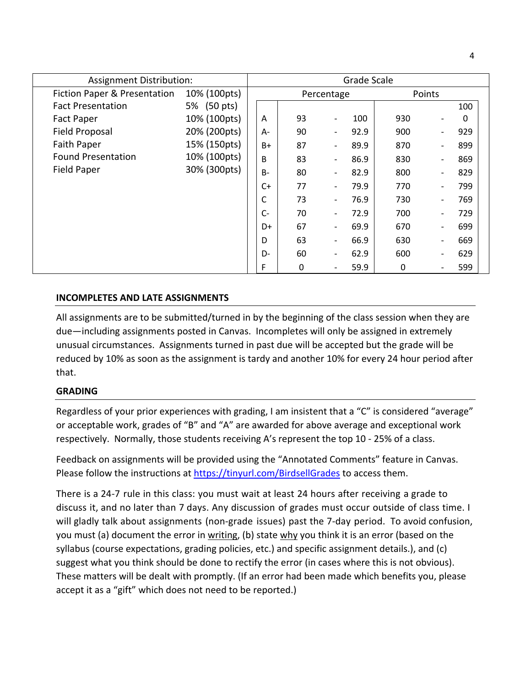| <b>Assignment Distribution:</b>         |              |       |    |                          | Grade Scale |        |   |     |
|-----------------------------------------|--------------|-------|----|--------------------------|-------------|--------|---|-----|
| <b>Fiction Paper &amp; Presentation</b> | 10% (100pts) |       |    | Percentage               |             | Points |   |     |
| <b>Fact Presentation</b>                | 5% (50 pts)  |       |    |                          |             |        |   | 100 |
| <b>Fact Paper</b>                       | 10% (100pts) | A     | 93 | $\overline{\phantom{a}}$ | 100         | 930    |   | 0   |
| <b>Field Proposal</b>                   | 20% (200pts) | A-    | 90 | $\overline{\phantom{a}}$ | 92.9        | 900    | - | 929 |
| Faith Paper                             | 15% (150pts) | B+    | 87 | $\overline{\phantom{a}}$ | 89.9        | 870    |   | 899 |
| <b>Found Presentation</b>               | 10% (100pts) | B     | 83 | $\overline{\phantom{a}}$ | 86.9        | 830    | - | 869 |
| <b>Field Paper</b>                      | 30% (300pts) | $B -$ | 80 | $\overline{\phantom{a}}$ | 82.9        | 800    |   | 829 |
|                                         |              | C+    | 77 | $\overline{\phantom{a}}$ | 79.9        | 770    | - | 799 |
|                                         |              | С     | 73 | $\qquad \qquad$          | 76.9        | 730    |   | 769 |
|                                         |              | $C-$  | 70 | $\overline{\phantom{a}}$ | 72.9        | 700    |   | 729 |
|                                         |              | D+    | 67 | $\qquad \qquad$          | 69.9        | 670    |   | 699 |
|                                         |              | D     | 63 | $\qquad \qquad$          | 66.9        | 630    |   | 669 |
|                                         |              | D-    | 60 |                          | 62.9        | 600    |   | 629 |
|                                         |              | F     | 0  |                          | 59.9        | 0      |   | 599 |

### **INCOMPLETES AND LATE ASSIGNMENTS**

All assignments are to be submitted/turned in by the beginning of the class session when they are due—including assignments posted in Canvas. Incompletes will only be assigned in extremely unusual circumstances. Assignments turned in past due will be accepted but the grade will be reduced by 10% as soon as the assignment is tardy and another 10% for every 24 hour period after that.

#### **GRADING**

Regardless of your prior experiences with grading, I am insistent that a "C" is considered "average" or acceptable work, grades of "B" and "A" are awarded for above average and exceptional work respectively. Normally, those students receiving A's represent the top 10 - 25% of a class.

Feedback on assignments will be provided using the "Annotated Comments" feature in Canvas. Please follow the instructions at<https://tinyurl.com/BirdsellGrades> to access them.

There is a 24-7 rule in this class: you must wait at least 24 hours after receiving a grade to discuss it, and no later than 7 days. Any discussion of grades must occur outside of class time. I will gladly talk about assignments (non-grade issues) past the 7-day period. To avoid confusion, you must (a) document the error in writing, (b) state why you think it is an error (based on the syllabus (course expectations, grading policies, etc.) and specific assignment details.), and (c) suggest what you think should be done to rectify the error (in cases where this is not obvious). These matters will be dealt with promptly. (If an error had been made which benefits you, please accept it as a "gift" which does not need to be reported.)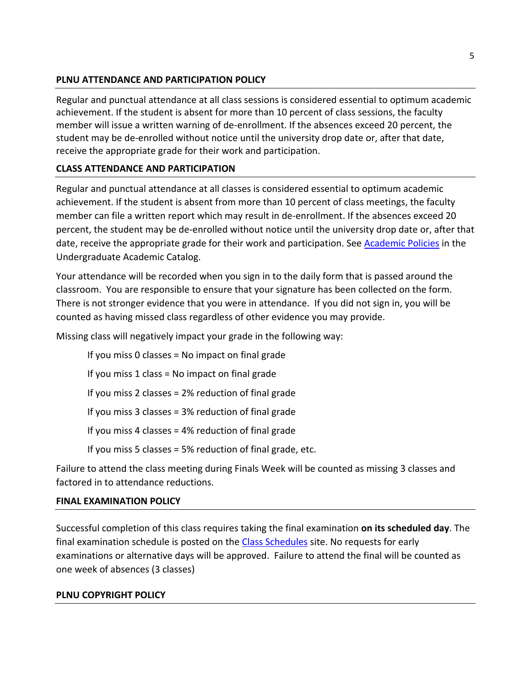# **PLNU ATTENDANCE AND PARTICIPATION POLICY**

Regular and punctual attendance at all class sessions is considered essential to optimum academic achievement. If the student is absent for more than 10 percent of class sessions, the faculty member will issue a written warning of de-enrollment. If the absences exceed 20 percent, the student may be de-enrolled without notice until the university drop date or, after that date, receive the appropriate grade for their work and participation.

# **CLASS ATTENDANCE AND PARTICIPATION**

Regular and punctual attendance at all classes is considered essential to optimum academic achievement. If the student is absent from more than 10 percent of class meetings, the faculty member can file a written report which may result in de-enrollment. If the absences exceed 20 percent, the student may be de-enrolled without notice until the university drop date or, after that date, receive the appropriate grade for their work and participation. See [Academic Policies](http://catalog.pointloma.edu/content.php?catoid=18&navoid=1278) in the Undergraduate Academic Catalog.

Your attendance will be recorded when you sign in to the daily form that is passed around the classroom. You are responsible to ensure that your signature has been collected on the form. There is not stronger evidence that you were in attendance. If you did not sign in, you will be counted as having missed class regardless of other evidence you may provide.

Missing class will negatively impact your grade in the following way:

If you miss 0 classes = No impact on final grade If you miss 1 class = No impact on final grade If you miss 2 classes = 2% reduction of final grade If you miss 3 classes = 3% reduction of final grade If you miss 4 classes = 4% reduction of final grade If you miss 5 classes = 5% reduction of final grade, etc.

Failure to attend the class meeting during Finals Week will be counted as missing 3 classes and factored in to attendance reductions.

### **FINAL EXAMINATION POLICY**

Successful completion of this class requires taking the final examination **on its scheduled day**. The final examination schedule is posted on the [Class Schedules](http://www.pointloma.edu/experience/academics/class-schedules) site. No requests for early examinations or alternative days will be approved. Failure to attend the final will be counted as one week of absences (3 classes)

### **PLNU COPYRIGHT POLICY**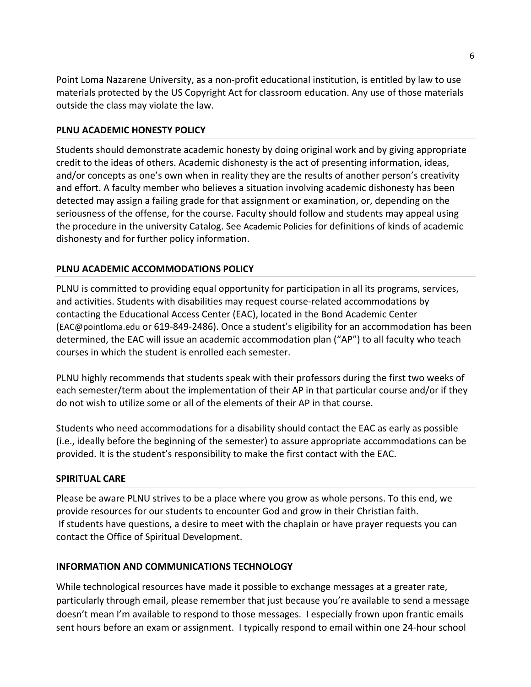Point Loma Nazarene University, as a non-profit educational institution, is entitled by law to use materials protected by the US Copyright Act for classroom education. Any use of those materials outside the class may violate the law.

# **PLNU ACADEMIC HONESTY POLICY**

Students should demonstrate academic honesty by doing original work and by giving appropriate credit to the ideas of others. Academic dishonesty is the act of presenting information, ideas, and/or concepts as one's own when in reality they are the results of another person's creativity and effort. A faculty member who believes a situation involving academic dishonesty has been detected may assign a failing grade for that assignment or examination, or, depending on the seriousness of the offense, for the course. Faculty should follow and students may appeal using the procedure in the university Catalog. See [Academic Policies](https://catalog.pointloma.edu/content.php?catoid=52&navoid=2919#Academic_Honesty) for definitions of kinds of academic dishonesty and for further policy information.

# **PLNU ACADEMIC ACCOMMODATIONS POLICY**

PLNU is committed to providing equal opportunity for participation in all its programs, services, and activities. Students with disabilities may request course-related accommodations by contacting the Educational Access Center (EAC), located in the Bond Academic Center ([EAC@pointloma.edu](mailto:EAC@pointloma.edu) or 619-849-2486). Once a student's eligibility for an accommodation has been determined, the EAC will issue an academic accommodation plan ("AP") to all faculty who teach courses in which the student is enrolled each semester.

PLNU highly recommends that students speak with their professors during the first two weeks of each semester/term about the implementation of their AP in that particular course and/or if they do not wish to utilize some or all of the elements of their AP in that course.

Students who need accommodations for a disability should contact the EAC as early as possible (i.e., ideally before the beginning of the semester) to assure appropriate accommodations can be provided. It is the student's responsibility to make the first contact with the EAC.

# **SPIRITUAL CARE**

Please be aware PLNU strives to be a place where you grow as whole persons. To this end, we provide resources for our students to encounter God and grow in their Christian faith. If students have questions, a desire to meet with the chaplain or have prayer requests you can contact the Office of Spiritual Development.

# **INFORMATION AND COMMUNICATIONS TECHNOLOGY**

While technological resources have made it possible to exchange messages at a greater rate, particularly through email, please remember that just because you're available to send a message doesn't mean I'm available to respond to those messages. I especially frown upon frantic emails sent hours before an exam or assignment. I typically respond to email within one 24-hour school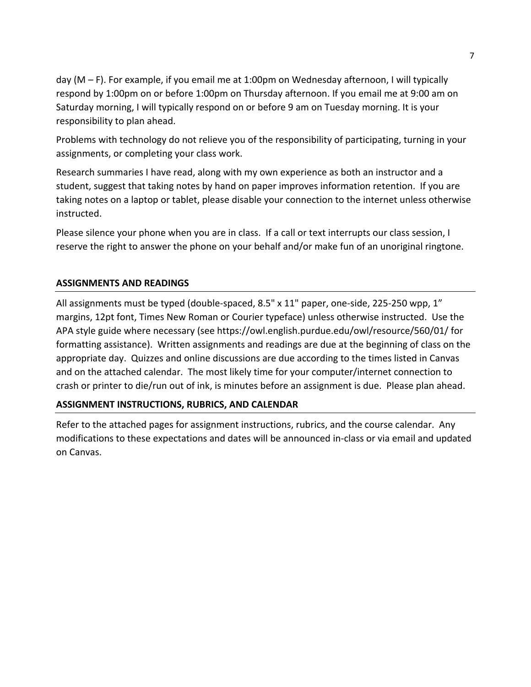day (M – F). For example, if you email me at 1:00pm on Wednesday afternoon, I will typically respond by 1:00pm on or before 1:00pm on Thursday afternoon. If you email me at 9:00 am on Saturday morning, I will typically respond on or before 9 am on Tuesday morning. It is your responsibility to plan ahead.

Problems with technology do not relieve you of the responsibility of participating, turning in your assignments, or completing your class work.

Research summaries I have read, along with my own experience as both an instructor and a student, suggest that taking notes by hand on paper improves information retention. If you are taking notes on a laptop or tablet, please disable your connection to the internet unless otherwise instructed.

Please silence your phone when you are in class. If a call or text interrupts our class session, I reserve the right to answer the phone on your behalf and/or make fun of an unoriginal ringtone.

# **ASSIGNMENTS AND READINGS**

All assignments must be typed (double-spaced, 8.5" x 11" paper, one-side, 225-250 wpp, 1" margins, 12pt font, Times New Roman or Courier typeface) unless otherwise instructed. Use the APA style guide where necessary (see https://owl.english.purdue.edu/owl/resource/560/01/ for formatting assistance). Written assignments and readings are due at the beginning of class on the appropriate day. Quizzes and online discussions are due according to the times listed in Canvas and on the attached calendar. The most likely time for your computer/internet connection to crash or printer to die/run out of ink, is minutes before an assignment is due. Please plan ahead.

### **ASSIGNMENT INSTRUCTIONS, RUBRICS, AND CALENDAR**

Refer to the attached pages for assignment instructions, rubrics, and the course calendar. Any modifications to these expectations and dates will be announced in-class or via email and updated on Canvas.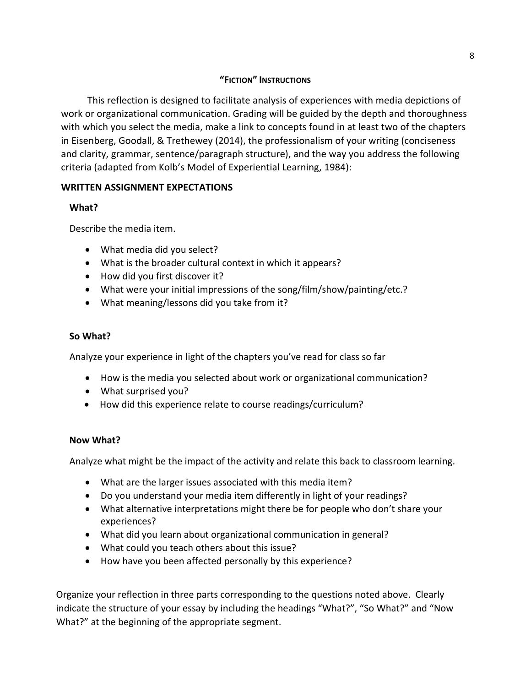# **"FICTION" INSTRUCTIONS**

This reflection is designed to facilitate analysis of experiences with media depictions of work or organizational communication. Grading will be guided by the depth and thoroughness with which you select the media, make a link to concepts found in at least two of the chapters in Eisenberg, Goodall, & Trethewey (2014), the professionalism of your writing (conciseness and clarity, grammar, sentence/paragraph structure), and the way you address the following criteria (adapted from Kolb's Model of Experiential Learning, 1984):

# **WRITTEN ASSIGNMENT EXPECTATIONS**

# **What?**

Describe the media item.

- What media did you select?
- What is the broader cultural context in which it appears?
- How did you first discover it?
- What were your initial impressions of the song/film/show/painting/etc.?
- What meaning/lessons did you take from it?

# **So What?**

Analyze your experience in light of the chapters you've read for class so far

- How is the media you selected about work or organizational communication?
- What surprised you?
- How did this experience relate to course readings/curriculum?

### **Now What?**

Analyze what might be the impact of the activity and relate this back to classroom learning.

- What are the larger issues associated with this media item?
- Do you understand your media item differently in light of your readings?
- What alternative interpretations might there be for people who don't share your experiences?
- What did you learn about organizational communication in general?
- What could you teach others about this issue?
- How have you been affected personally by this experience?

Organize your reflection in three parts corresponding to the questions noted above. Clearly indicate the structure of your essay by including the headings "What?", "So What?" and "Now What?" at the beginning of the appropriate segment.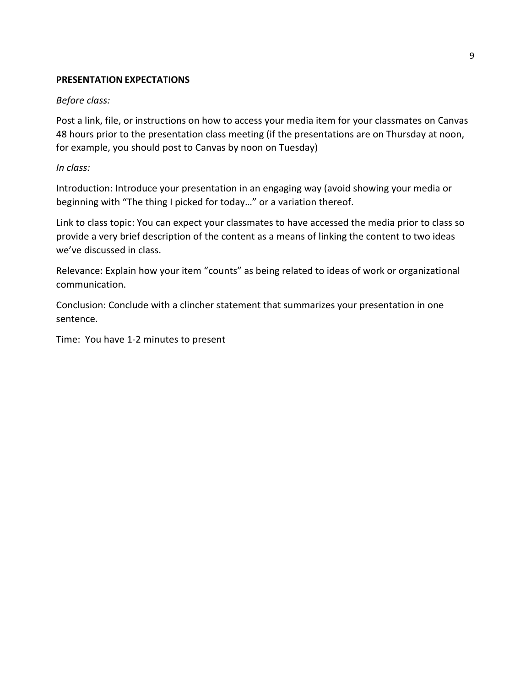#### **PRESENTATION EXPECTATIONS**

#### *Before class:*

Post a link, file, or instructions on how to access your media item for your classmates on Canvas 48 hours prior to the presentation class meeting (if the presentations are on Thursday at noon, for example, you should post to Canvas by noon on Tuesday)

#### *In class:*

Introduction: Introduce your presentation in an engaging way (avoid showing your media or beginning with "The thing I picked for today…" or a variation thereof.

Link to class topic: You can expect your classmates to have accessed the media prior to class so provide a very brief description of the content as a means of linking the content to two ideas we've discussed in class.

Relevance: Explain how your item "counts" as being related to ideas of work or organizational communication.

Conclusion: Conclude with a clincher statement that summarizes your presentation in one sentence.

Time: You have 1-2 minutes to present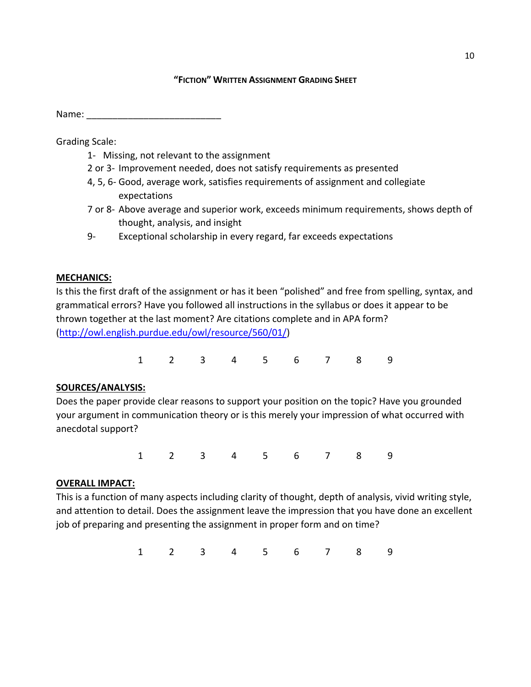#### **"FICTION" WRITTEN ASSIGNMENT GRADING SHEET**

Name: \_\_\_\_\_\_\_\_\_\_\_\_\_\_\_\_\_\_\_\_\_\_\_\_\_\_

Grading Scale:

- 1- Missing, not relevant to the assignment
- 2 or 3- Improvement needed, does not satisfy requirements as presented
- 4, 5, 6- Good, average work, satisfies requirements of assignment and collegiate expectations
- 7 or 8- Above average and superior work, exceeds minimum requirements, shows depth of thought, analysis, and insight
- 9- Exceptional scholarship in every regard, far exceeds expectations

# **MECHANICS:**

Is this the first draft of the assignment or has it been "polished" and free from spelling, syntax, and grammatical errors? Have you followed all instructions in the syllabus or does it appear to be thrown together at the last moment? Are citations complete and in APA form? [\(http://owl.english.purdue.edu/owl/resource/560/01/\)](http://owl.english.purdue.edu/owl/resource/560/01/)

1 2 3 4 5 6 7 8 9

# **SOURCES/ANALYSIS:**

Does the paper provide clear reasons to support your position on the topic? Have you grounded your argument in communication theory or is this merely your impression of what occurred with anecdotal support?

1 2 3 4 5 6 7 8 9

# **OVERALL IMPACT:**

This is a function of many aspects including clarity of thought, depth of analysis, vivid writing style, and attention to detail. Does the assignment leave the impression that you have done an excellent job of preparing and presenting the assignment in proper form and on time?

1 2 3 4 5 6 7 8 9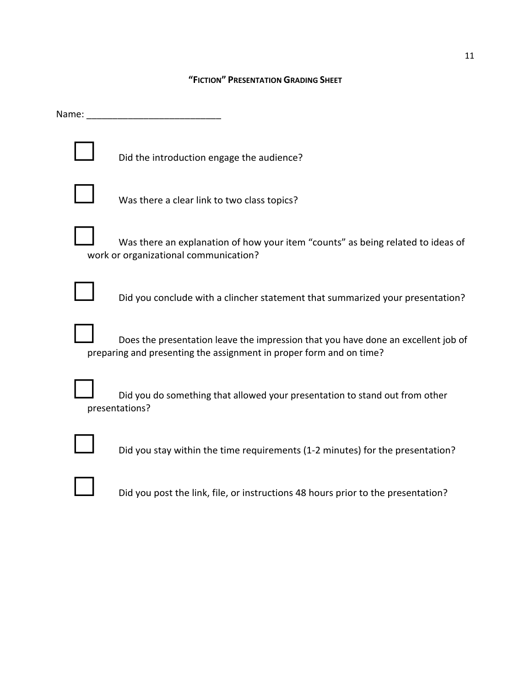#### **"FICTION" PRESENTATION GRADING SHEET**

Name: \_\_\_\_\_\_\_\_\_\_\_\_\_\_\_\_\_\_\_\_\_\_\_\_\_\_

Did the introduction engage the audience?



Was there a clear link to two class topics?

Was there an explanation of how your item "counts" as being related to ideas of work or organizational communication?



Did you conclude with a clincher statement that summarized your presentation?



Does the presentation leave the impression that you have done an excellent job of preparing and presenting the assignment in proper form and on time?

Did you do something that allowed your presentation to stand out from other presentations?



Did you stay within the time requirements (1-2 minutes) for the presentation?

Did you post the link, file, or instructions 48 hours prior to the presentation?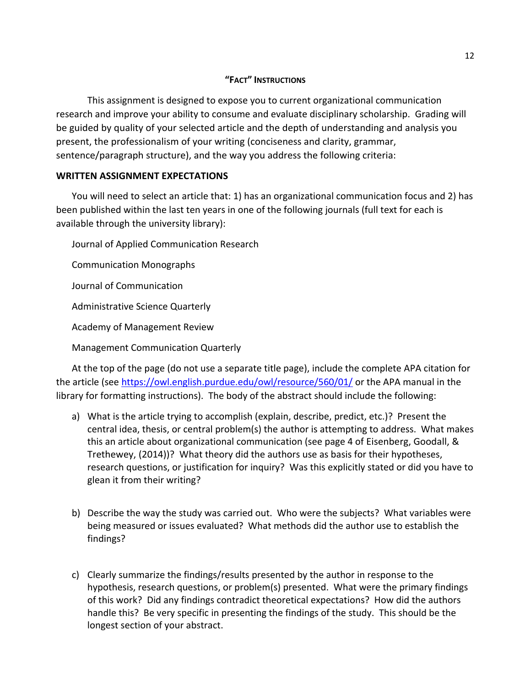# **"FACT" INSTRUCTIONS**

This assignment is designed to expose you to current organizational communication research and improve your ability to consume and evaluate disciplinary scholarship. Grading will be guided by quality of your selected article and the depth of understanding and analysis you present, the professionalism of your writing (conciseness and clarity, grammar, sentence/paragraph structure), and the way you address the following criteria:

# **WRITTEN ASSIGNMENT EXPECTATIONS**

You will need to select an article that: 1) has an organizational communication focus and 2) has been published within the last ten years in one of the following journals (full text for each is available through the university library):

Journal of Applied Communication Research

Communication Monographs

Journal of Communication

Administrative Science Quarterly

Academy of Management Review

Management Communication Quarterly

At the top of the page (do not use a separate title page), include the complete APA citation for the article (see<https://owl.english.purdue.edu/owl/resource/560/01/> or the APA manual in the library for formatting instructions). The body of the abstract should include the following:

- a) What is the article trying to accomplish (explain, describe, predict, etc.)? Present the central idea, thesis, or central problem(s) the author is attempting to address. What makes this an article about organizational communication (see page 4 of Eisenberg, Goodall, & Trethewey, (2014))? What theory did the authors use as basis for their hypotheses, research questions, or justification for inquiry? Was this explicitly stated or did you have to glean it from their writing?
- b) Describe the way the study was carried out. Who were the subjects? What variables were being measured or issues evaluated? What methods did the author use to establish the findings?
- c) Clearly summarize the findings/results presented by the author in response to the hypothesis, research questions, or problem(s) presented. What were the primary findings of this work? Did any findings contradict theoretical expectations? How did the authors handle this? Be very specific in presenting the findings of the study. This should be the longest section of your abstract.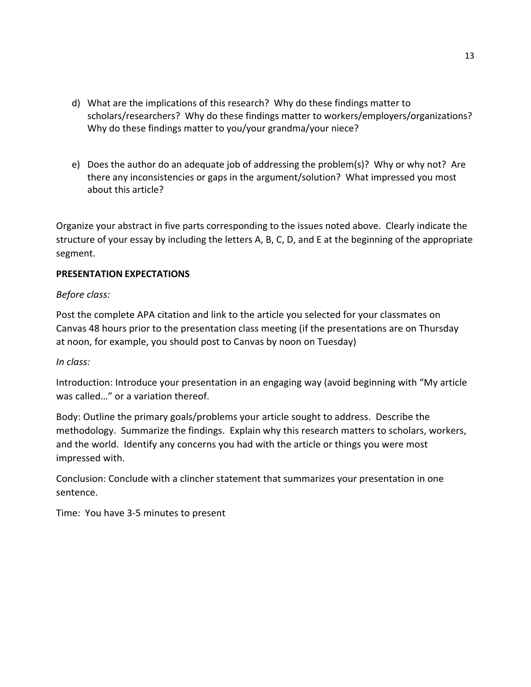- d) What are the implications of this research? Why do these findings matter to scholars/researchers? Why do these findings matter to workers/employers/organizations? Why do these findings matter to you/your grandma/your niece?
- e) Does the author do an adequate job of addressing the problem(s)? Why or why not? Are there any inconsistencies or gaps in the argument/solution? What impressed you most about this article?

Organize your abstract in five parts corresponding to the issues noted above. Clearly indicate the structure of your essay by including the letters A, B, C, D, and E at the beginning of the appropriate segment.

# **PRESENTATION EXPECTATIONS**

### *Before class:*

Post the complete APA citation and link to the article you selected for your classmates on Canvas 48 hours prior to the presentation class meeting (if the presentations are on Thursday at noon, for example, you should post to Canvas by noon on Tuesday)

### *In class:*

Introduction: Introduce your presentation in an engaging way (avoid beginning with "My article was called…" or a variation thereof.

Body: Outline the primary goals/problems your article sought to address. Describe the methodology. Summarize the findings. Explain why this research matters to scholars, workers, and the world. Identify any concerns you had with the article or things you were most impressed with.

Conclusion: Conclude with a clincher statement that summarizes your presentation in one sentence.

Time: You have 3-5 minutes to present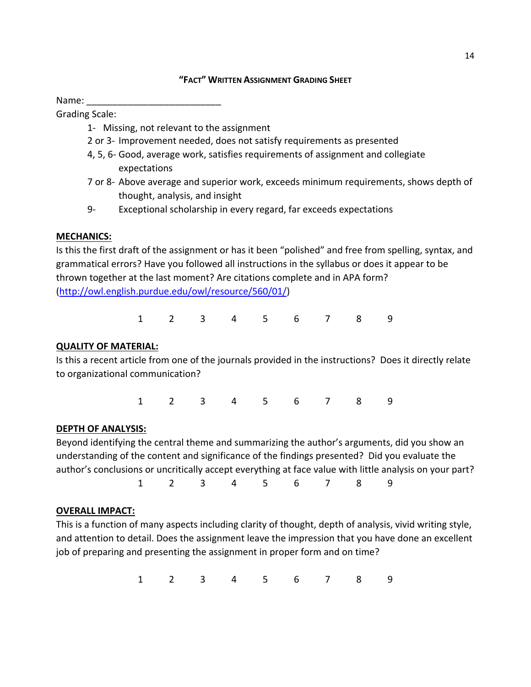### **"FACT" WRITTEN ASSIGNMENT GRADING SHEET**

Name:

Grading Scale:

- 1- Missing, not relevant to the assignment
- 2 or 3- Improvement needed, does not satisfy requirements as presented
- 4, 5, 6- Good, average work, satisfies requirements of assignment and collegiate expectations
- 7 or 8- Above average and superior work, exceeds minimum requirements, shows depth of thought, analysis, and insight
- 9- Exceptional scholarship in every regard, far exceeds expectations

### **MECHANICS:**

Is this the first draft of the assignment or has it been "polished" and free from spelling, syntax, and grammatical errors? Have you followed all instructions in the syllabus or does it appear to be thrown together at the last moment? Are citations complete and in APA form? [\(http://owl.english.purdue.edu/owl/resource/560/01/\)](http://owl.english.purdue.edu/owl/resource/560/01/)

1 2 3 4 5 6 7 8 9

# **QUALITY OF MATERIAL:**

Is this a recent article from one of the journals provided in the instructions? Does it directly relate to organizational communication?

1 2 3 4 5 6 7 8 9

### **DEPTH OF ANALYSIS:**

Beyond identifying the central theme and summarizing the author's arguments, did you show an understanding of the content and significance of the findings presented? Did you evaluate the author's conclusions or uncritically accept everything at face value with little analysis on your part? 1 2 3 4 5 6 7 8 9

### **OVERALL IMPACT:**

This is a function of many aspects including clarity of thought, depth of analysis, vivid writing style, and attention to detail. Does the assignment leave the impression that you have done an excellent job of preparing and presenting the assignment in proper form and on time?

1 2 3 4 5 6 7 8 9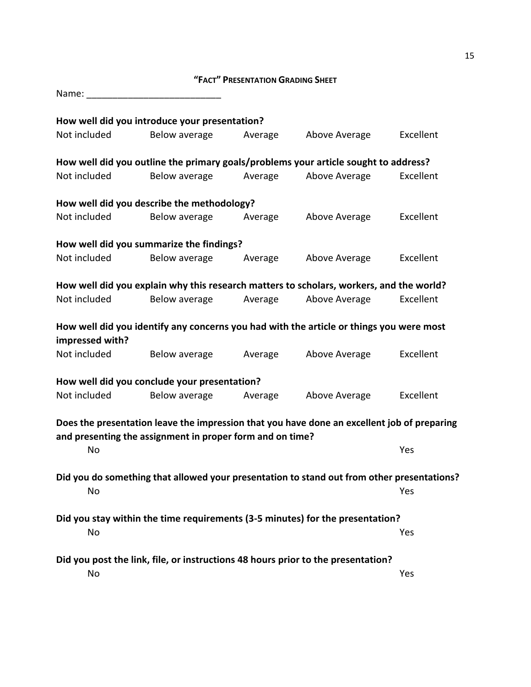# **"FACT" PRESENTATION GRADING SHEET**

| Name:           |                                                                                                                                                          |         |               |           |
|-----------------|----------------------------------------------------------------------------------------------------------------------------------------------------------|---------|---------------|-----------|
|                 | How well did you introduce your presentation?                                                                                                            |         |               |           |
| Not included    | Below average                                                                                                                                            | Average | Above Average | Excellent |
|                 | How well did you outline the primary goals/problems your article sought to address?                                                                      |         |               |           |
| Not included    | Below average                                                                                                                                            | Average | Above Average | Excellent |
|                 | How well did you describe the methodology?                                                                                                               |         |               |           |
| Not included    | Below average                                                                                                                                            | Average | Above Average | Excellent |
|                 | How well did you summarize the findings?                                                                                                                 |         |               |           |
| Not included    | Below average                                                                                                                                            | Average | Above Average | Excellent |
|                 | How well did you explain why this research matters to scholars, workers, and the world?                                                                  |         |               |           |
| Not included    | Below average                                                                                                                                            | Average | Above Average | Excellent |
|                 | How well did you identify any concerns you had with the article or things you were most                                                                  |         |               |           |
| impressed with? |                                                                                                                                                          |         |               |           |
| Not included    | Below average                                                                                                                                            | Average | Above Average | Excellent |
|                 | How well did you conclude your presentation?                                                                                                             |         |               |           |
| Not included    | Below average                                                                                                                                            | Average | Above Average | Excellent |
|                 | Does the presentation leave the impression that you have done an excellent job of preparing<br>and presenting the assignment in proper form and on time? |         |               |           |
| No              |                                                                                                                                                          |         |               | Yes       |
|                 | Did you do something that allowed your presentation to stand out from other presentations?                                                               |         |               |           |
| No              |                                                                                                                                                          |         |               | Yes       |
|                 | Did you stay within the time requirements (3-5 minutes) for the presentation?                                                                            |         |               |           |
| No              |                                                                                                                                                          |         |               | Yes       |
|                 | Did you post the link, file, or instructions 48 hours prior to the presentation?                                                                         |         |               |           |
| No              |                                                                                                                                                          |         |               | Yes       |

15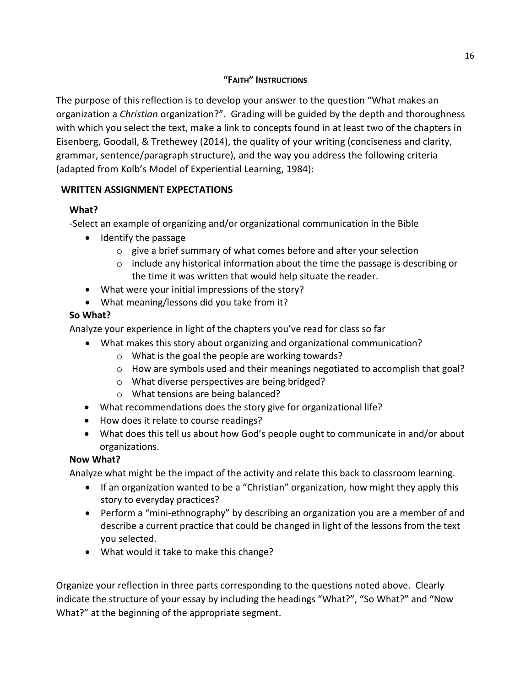# **"FAITH" INSTRUCTIONS**

The purpose of this reflection is to develop your answer to the question "What makes an organization a *Christian* organization?". Grading will be guided by the depth and thoroughness with which you select the text, make a link to concepts found in at least two of the chapters in Eisenberg, Goodall, & Trethewey (2014), the quality of your writing (conciseness and clarity, grammar, sentence/paragraph structure), and the way you address the following criteria (adapted from Kolb's Model of Experiential Learning, 1984):

# **WRITTEN ASSIGNMENT EXPECTATIONS**

# **What?**

-Select an example of organizing and/or organizational communication in the Bible

- Identify the passage
	- o give a brief summary of what comes before and after your selection
	- $\circ$  include any historical information about the time the passage is describing or the time it was written that would help situate the reader.
- What were your initial impressions of the story?
- What meaning/lessons did you take from it?

# **So What?**

Analyze your experience in light of the chapters you've read for class so far

- What makes this story about organizing and organizational communication?
	- o What is the goal the people are working towards?
	- $\circ$  How are symbols used and their meanings negotiated to accomplish that goal?
	- o What diverse perspectives are being bridged?
	- o What tensions are being balanced?
- What recommendations does the story give for organizational life?
- How does it relate to course readings?
- What does this tell us about how God's people ought to communicate in and/or about organizations.

# **Now What?**

Analyze what might be the impact of the activity and relate this back to classroom learning.

- If an organization wanted to be a "Christian" organization, how might they apply this story to everyday practices?
- Perform a "mini-ethnography" by describing an organization you are a member of and describe a current practice that could be changed in light of the lessons from the text you selected.
- What would it take to make this change?

Organize your reflection in three parts corresponding to the questions noted above. Clearly indicate the structure of your essay by including the headings "What?", "So What?" and "Now What?" at the beginning of the appropriate segment.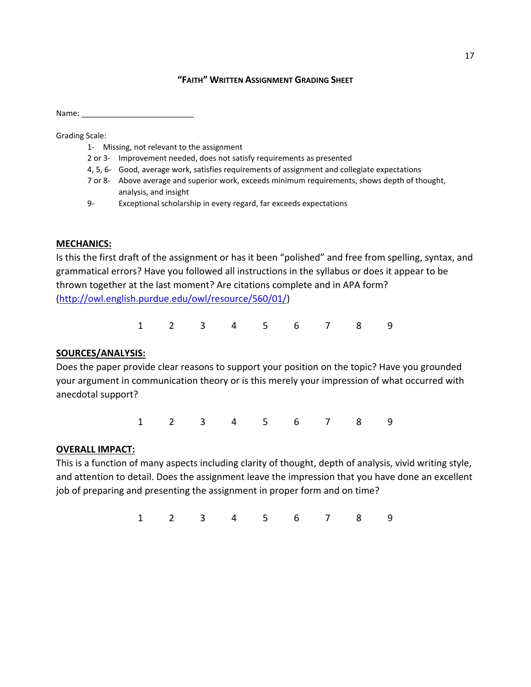#### **"FAITH" WRITTEN ASSIGNMENT GRADING SHEET**

Name:

Grading Scale:

- 1- Missing, not relevant to the assignment
- 2 or 3- Improvement needed, does not satisfy requirements as presented
- 4, 5, 6- Good, average work, satisfies requirements of assignment and collegiate expectations
- 7 or 8- Above average and superior work, exceeds minimum requirements, shows depth of thought, analysis, and insight
- 9- Exceptional scholarship in every regard, far exceeds expectations

#### **MECHANICS:**

Is this the first draft of the assignment or has it been "polished" and free from spelling, syntax, and grammatical errors? Have you followed all instructions in the syllabus or does it appear to be thrown together at the last moment? Are citations complete and in APA form? [\(http://owl.english.purdue.edu/owl/resource/560/01/\)](http://owl.english.purdue.edu/owl/resource/560/01/)

1 2 3 4 5 6 7 8 9

### **SOURCES/ANALYSIS:**

Does the paper provide clear reasons to support your position on the topic? Have you grounded your argument in communication theory or is this merely your impression of what occurred with anecdotal support?

1 2 3 4 5 6 7 8 9

#### **OVERALL IMPACT:**

This is a function of many aspects including clarity of thought, depth of analysis, vivid writing style, and attention to detail. Does the assignment leave the impression that you have done an excellent job of preparing and presenting the assignment in proper form and on time?

1 2 3 4 5 6 7 8 9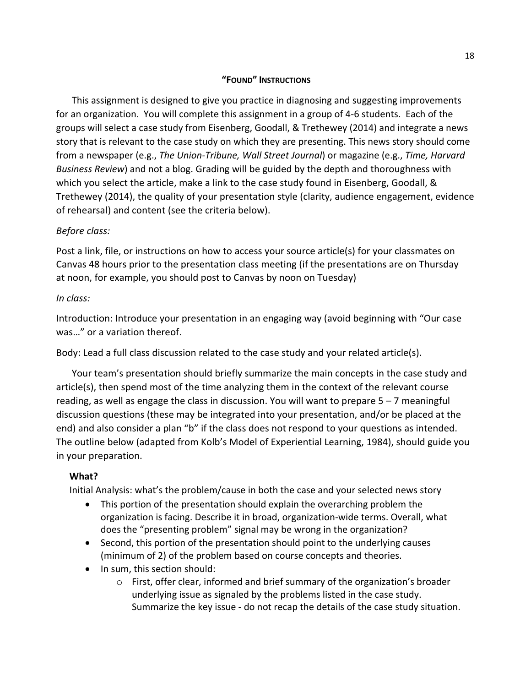### **"FOUND" INSTRUCTIONS**

This assignment is designed to give you practice in diagnosing and suggesting improvements for an organization. You will complete this assignment in a group of 4-6 students. Each of the groups will select a case study from Eisenberg, Goodall, & Trethewey (2014) and integrate a news story that is relevant to the case study on which they are presenting. This news story should come from a newspaper (e.g., *The Union-Tribune, Wall Street Journal*) or magazine (e.g., *Time, Harvard Business Review*) and not a blog. Grading will be guided by the depth and thoroughness with which you select the article, make a link to the case study found in Eisenberg, Goodall, & Trethewey (2014), the quality of your presentation style (clarity, audience engagement, evidence of rehearsal) and content (see the criteria below).

# *Before class:*

Post a link, file, or instructions on how to access your source article(s) for your classmates on Canvas 48 hours prior to the presentation class meeting (if the presentations are on Thursday at noon, for example, you should post to Canvas by noon on Tuesday)

### *In class:*

Introduction: Introduce your presentation in an engaging way (avoid beginning with "Our case was…" or a variation thereof.

Body: Lead a full class discussion related to the case study and your related article(s).

Your team's presentation should briefly summarize the main concepts in the case study and article(s), then spend most of the time analyzing them in the context of the relevant course reading, as well as engage the class in discussion. You will want to prepare 5 – 7 meaningful discussion questions (these may be integrated into your presentation, and/or be placed at the end) and also consider a plan "b" if the class does not respond to your questions as intended. The outline below (adapted from Kolb's Model of Experiential Learning, 1984), should guide you in your preparation.

### **What?**

Initial Analysis: what's the problem/cause in both the case and your selected news story

- This portion of the presentation should explain the overarching problem the organization is facing. Describe it in broad, organization-wide terms. Overall, what does the "presenting problem" signal may be wrong in the organization?
- Second, this portion of the presentation should point to the underlying causes (minimum of 2) of the problem based on course concepts and theories.
- In sum, this section should:
	- $\circ$  First, offer clear, informed and brief summary of the organization's broader underlying issue as signaled by the problems listed in the case study. Summarize the key issue - do not recap the details of the case study situation.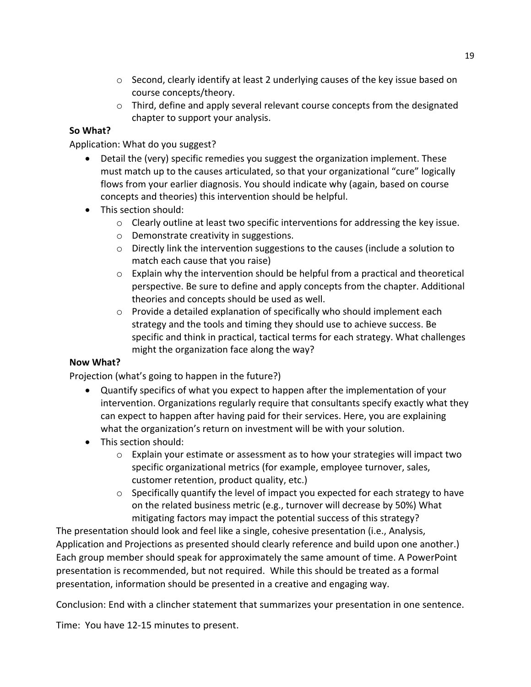- $\circ$  Second, clearly identify at least 2 underlying causes of the key issue based on course concepts/theory.
- $\circ$  Third, define and apply several relevant course concepts from the designated chapter to support your analysis.

# **So What?**

Application: What do you suggest?

- Detail the (very) specific remedies you suggest the organization implement. These must match up to the causes articulated, so that your organizational "cure" logically flows from your earlier diagnosis. You should indicate why (again, based on course concepts and theories) this intervention should be helpful.
- This section should:
	- o Clearly outline at least two specific interventions for addressing the key issue.
	- o Demonstrate creativity in suggestions.
	- $\circ$  Directly link the intervention suggestions to the causes (include a solution to match each cause that you raise)
	- $\circ$  Explain why the intervention should be helpful from a practical and theoretical perspective. Be sure to define and apply concepts from the chapter. Additional theories and concepts should be used as well.
	- o Provide a detailed explanation of specifically who should implement each strategy and the tools and timing they should use to achieve success. Be specific and think in practical, tactical terms for each strategy. What challenges might the organization face along the way?

# **Now What?**

Projection (what's going to happen in the future?)

- Quantify specifics of what you expect to happen after the implementation of your intervention. Organizations regularly require that consultants specify exactly what they can expect to happen after having paid for their services. Here, you are explaining what the organization's return on investment will be with your solution.
- This section should:
	- $\circ$  Explain your estimate or assessment as to how your strategies will impact two specific organizational metrics (for example, employee turnover, sales, customer retention, product quality, etc.)
	- o Specifically quantify the level of impact you expected for each strategy to have on the related business metric (e.g., turnover will decrease by 50%) What mitigating factors may impact the potential success of this strategy?

The presentation should look and feel like a single, cohesive presentation (i.e., Analysis, Application and Projections as presented should clearly reference and build upon one another.) Each group member should speak for approximately the same amount of time. A PowerPoint presentation is recommended, but not required. While this should be treated as a formal presentation, information should be presented in a creative and engaging way.

Conclusion: End with a clincher statement that summarizes your presentation in one sentence.

Time: You have 12-15 minutes to present.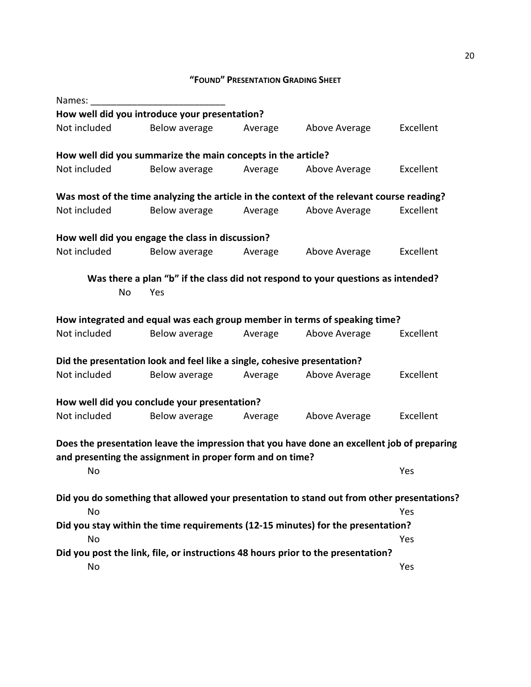# **"FOUND" PRESENTATION GRADING SHEET**

| Names:       |                                                                          |         |                                                                                             |           |
|--------------|--------------------------------------------------------------------------|---------|---------------------------------------------------------------------------------------------|-----------|
|              | How well did you introduce your presentation?                            |         |                                                                                             |           |
| Not included | Below average                                                            | Average | Above Average                                                                               | Excellent |
|              | How well did you summarize the main concepts in the article?             |         |                                                                                             |           |
| Not included | Below average                                                            | Average | Above Average                                                                               | Excellent |
|              |                                                                          |         | Was most of the time analyzing the article in the context of the relevant course reading?   |           |
| Not included | Below average                                                            | Average | Above Average                                                                               | Excellent |
|              | How well did you engage the class in discussion?                         |         |                                                                                             |           |
| Not included | Below average                                                            | Average | Above Average                                                                               | Excellent |
|              |                                                                          |         | Was there a plan "b" if the class did not respond to your questions as intended?            |           |
| No           | Yes                                                                      |         |                                                                                             |           |
|              |                                                                          |         | How integrated and equal was each group member in terms of speaking time?                   |           |
| Not included | Below average                                                            | Average | Above Average                                                                               | Excellent |
|              | Did the presentation look and feel like a single, cohesive presentation? |         |                                                                                             |           |
| Not included | Below average                                                            | Average | Above Average                                                                               | Excellent |
|              | How well did you conclude your presentation?                             |         |                                                                                             |           |
| Not included | Below average                                                            | Average | Above Average                                                                               | Excellent |
|              |                                                                          |         | Does the presentation leave the impression that you have done an excellent job of preparing |           |
|              | and presenting the assignment in proper form and on time?                |         |                                                                                             |           |
| No           |                                                                          |         |                                                                                             | Yes       |
|              |                                                                          |         | Did you do something that allowed your presentation to stand out from other presentations?  |           |
| <b>No</b>    |                                                                          |         |                                                                                             | Yes       |
|              |                                                                          |         | Did you stay within the time requirements (12-15 minutes) for the presentation?             |           |
| No           |                                                                          |         |                                                                                             | Yes       |
|              |                                                                          |         | Did you post the link, file, or instructions 48 hours prior to the presentation?            |           |
| No           |                                                                          |         |                                                                                             | Yes       |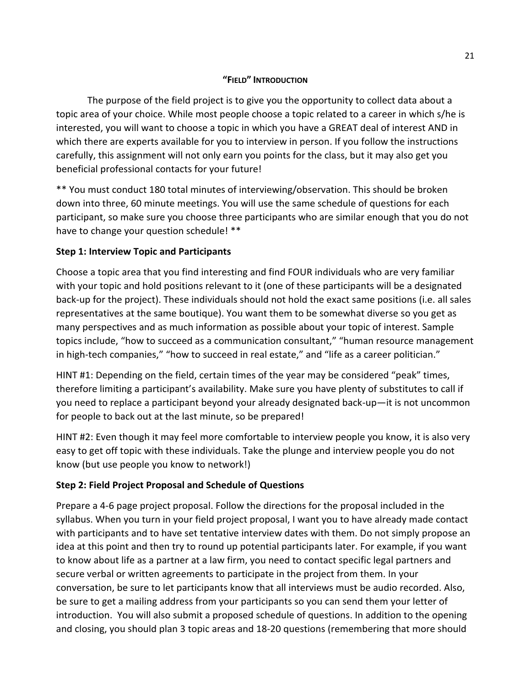### **"FIELD" INTRODUCTION**

The purpose of the field project is to give you the opportunity to collect data about a topic area of your choice. While most people choose a topic related to a career in which s/he is interested, you will want to choose a topic in which you have a GREAT deal of interest AND in which there are experts available for you to interview in person. If you follow the instructions carefully, this assignment will not only earn you points for the class, but it may also get you beneficial professional contacts for your future!

\*\* You must conduct 180 total minutes of interviewing/observation. This should be broken down into three, 60 minute meetings. You will use the same schedule of questions for each participant, so make sure you choose three participants who are similar enough that you do not have to change your question schedule! \*\*

# **Step 1: Interview Topic and Participants**

Choose a topic area that you find interesting and find FOUR individuals who are very familiar with your topic and hold positions relevant to it (one of these participants will be a designated back-up for the project). These individuals should not hold the exact same positions (i.e. all sales representatives at the same boutique). You want them to be somewhat diverse so you get as many perspectives and as much information as possible about your topic of interest. Sample topics include, "how to succeed as a communication consultant," "human resource management in high-tech companies," "how to succeed in real estate," and "life as a career politician."

HINT #1: Depending on the field, certain times of the year may be considered "peak" times, therefore limiting a participant's availability. Make sure you have plenty of substitutes to call if you need to replace a participant beyond your already designated back-up—it is not uncommon for people to back out at the last minute, so be prepared!

HINT #2: Even though it may feel more comfortable to interview people you know, it is also very easy to get off topic with these individuals. Take the plunge and interview people you do not know (but use people you know to network!)

# **Step 2: Field Project Proposal and Schedule of Questions**

Prepare a 4-6 page project proposal. Follow the directions for the proposal included in the syllabus. When you turn in your field project proposal, I want you to have already made contact with participants and to have set tentative interview dates with them. Do not simply propose an idea at this point and then try to round up potential participants later. For example, if you want to know about life as a partner at a law firm, you need to contact specific legal partners and secure verbal or written agreements to participate in the project from them. In your conversation, be sure to let participants know that all interviews must be audio recorded. Also, be sure to get a mailing address from your participants so you can send them your letter of introduction. You will also submit a proposed schedule of questions. In addition to the opening and closing, you should plan 3 topic areas and 18-20 questions (remembering that more should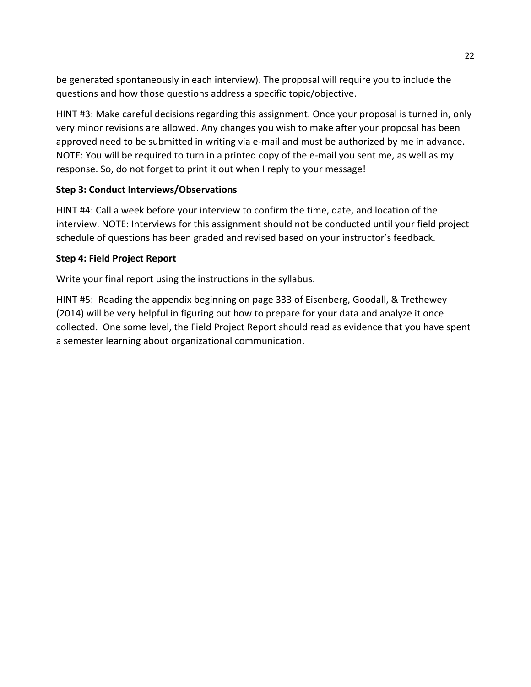be generated spontaneously in each interview). The proposal will require you to include the questions and how those questions address a specific topic/objective.

HINT #3: Make careful decisions regarding this assignment. Once your proposal is turned in, only very minor revisions are allowed. Any changes you wish to make after your proposal has been approved need to be submitted in writing via e-mail and must be authorized by me in advance. NOTE: You will be required to turn in a printed copy of the e-mail you sent me, as well as my response. So, do not forget to print it out when I reply to your message!

# **Step 3: Conduct Interviews/Observations**

HINT #4: Call a week before your interview to confirm the time, date, and location of the interview. NOTE: Interviews for this assignment should not be conducted until your field project schedule of questions has been graded and revised based on your instructor's feedback.

# **Step 4: Field Project Report**

Write your final report using the instructions in the syllabus.

HINT #5: Reading the appendix beginning on page 333 of Eisenberg, Goodall, & Trethewey (2014) will be very helpful in figuring out how to prepare for your data and analyze it once collected. One some level, the Field Project Report should read as evidence that you have spent a semester learning about organizational communication.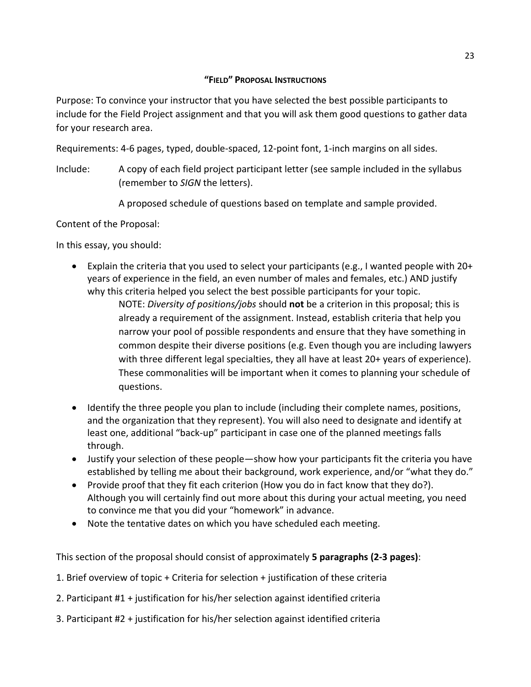### **"FIELD" PROPOSAL INSTRUCTIONS**

Purpose: To convince your instructor that you have selected the best possible participants to include for the Field Project assignment and that you will ask them good questions to gather data for your research area.

Requirements: 4-6 pages, typed, double-spaced, 12-point font, 1-inch margins on all sides.

Include: A copy of each field project participant letter (see sample included in the syllabus (remember to *SIGN* the letters).

A proposed schedule of questions based on template and sample provided.

Content of the Proposal:

In this essay, you should:

 Explain the criteria that you used to select your participants (e.g., I wanted people with 20+ years of experience in the field, an even number of males and females, etc.) AND justify why this criteria helped you select the best possible participants for your topic.

NOTE: *Diversity of positions/jobs* should **not** be a criterion in this proposal; this is already a requirement of the assignment. Instead, establish criteria that help you narrow your pool of possible respondents and ensure that they have something in common despite their diverse positions (e.g. Even though you are including lawyers with three different legal specialties, they all have at least 20+ years of experience). These commonalities will be important when it comes to planning your schedule of questions.

- Identify the three people you plan to include (including their complete names, positions, and the organization that they represent). You will also need to designate and identify at least one, additional "back-up" participant in case one of the planned meetings falls through.
- Justify your selection of these people—show how your participants fit the criteria you have established by telling me about their background, work experience, and/or "what they do."
- Provide proof that they fit each criterion (How you do in fact know that they do?). Although you will certainly find out more about this during your actual meeting, you need to convince me that you did your "homework" in advance.
- Note the tentative dates on which you have scheduled each meeting.

This section of the proposal should consist of approximately **5 paragraphs (2-3 pages)**:

- 1. Brief overview of topic + Criteria for selection + justification of these criteria
- 2. Participant #1 + justification for his/her selection against identified criteria
- 3. Participant #2 + justification for his/her selection against identified criteria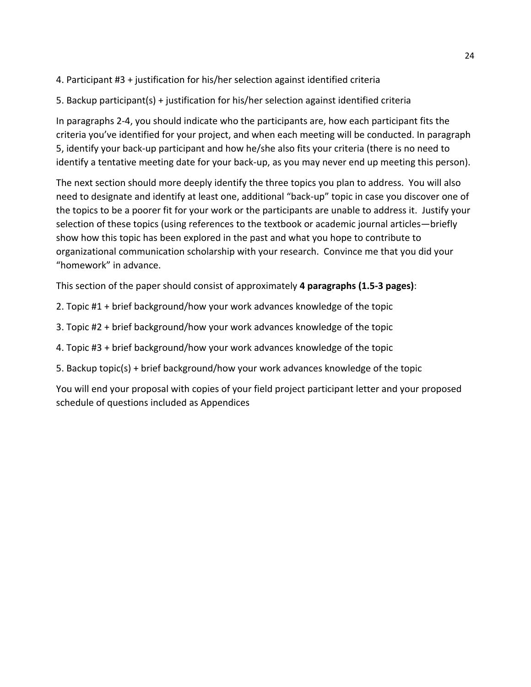# 4. Participant #3 + justification for his/her selection against identified criteria

# 5. Backup participant(s) + justification for his/her selection against identified criteria

In paragraphs 2-4, you should indicate who the participants are, how each participant fits the criteria you've identified for your project, and when each meeting will be conducted. In paragraph 5, identify your back-up participant and how he/she also fits your criteria (there is no need to identify a tentative meeting date for your back-up, as you may never end up meeting this person).

The next section should more deeply identify the three topics you plan to address. You will also need to designate and identify at least one, additional "back-up" topic in case you discover one of the topics to be a poorer fit for your work or the participants are unable to address it. Justify your selection of these topics (using references to the textbook or academic journal articles—briefly show how this topic has been explored in the past and what you hope to contribute to organizational communication scholarship with your research. Convince me that you did your "homework" in advance.

This section of the paper should consist of approximately **4 paragraphs (1.5-3 pages)**:

- 2. Topic #1 + brief background/how your work advances knowledge of the topic
- 3. Topic #2 + brief background/how your work advances knowledge of the topic
- 4. Topic #3 + brief background/how your work advances knowledge of the topic
- 5. Backup topic(s) + brief background/how your work advances knowledge of the topic

You will end your proposal with copies of your field project participant letter and your proposed schedule of questions included as Appendices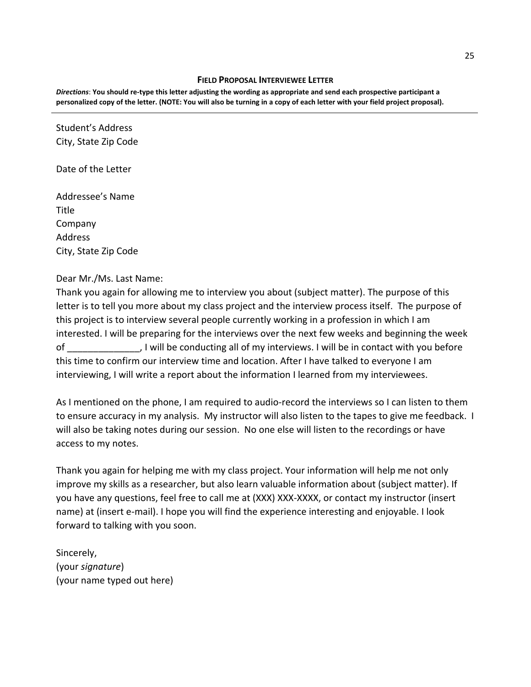#### **FIELD PROPOSAL INTERVIEWEE LETTER**

*Directions*: **You should re-type this letter adjusting the wording as appropriate and send each prospective participant a personalized copy of the letter. (NOTE: You will also be turning in a copy of each letter with your field project proposal).**

Student's Address City, State Zip Code

Date of the Letter

Addressee's Name Title Company Address City, State Zip Code

Dear Mr./Ms. Last Name:

Thank you again for allowing me to interview you about (subject matter). The purpose of this letter is to tell you more about my class project and the interview process itself. The purpose of this project is to interview several people currently working in a profession in which I am interested. I will be preparing for the interviews over the next few weeks and beginning the week of \_\_\_\_\_\_\_\_\_\_\_\_\_\_, I will be conducting all of my interviews. I will be in contact with you before this time to confirm our interview time and location. After I have talked to everyone I am interviewing, I will write a report about the information I learned from my interviewees.

As I mentioned on the phone, I am required to audio-record the interviews so I can listen to them to ensure accuracy in my analysis. My instructor will also listen to the tapes to give me feedback. I will also be taking notes during our session. No one else will listen to the recordings or have access to my notes.

Thank you again for helping me with my class project. Your information will help me not only improve my skills as a researcher, but also learn valuable information about (subject matter). If you have any questions, feel free to call me at (XXX) XXX-XXXX, or contact my instructor (insert name) at (insert e-mail). I hope you will find the experience interesting and enjoyable. I look forward to talking with you soon.

Sincerely, (your *signature*) (your name typed out here)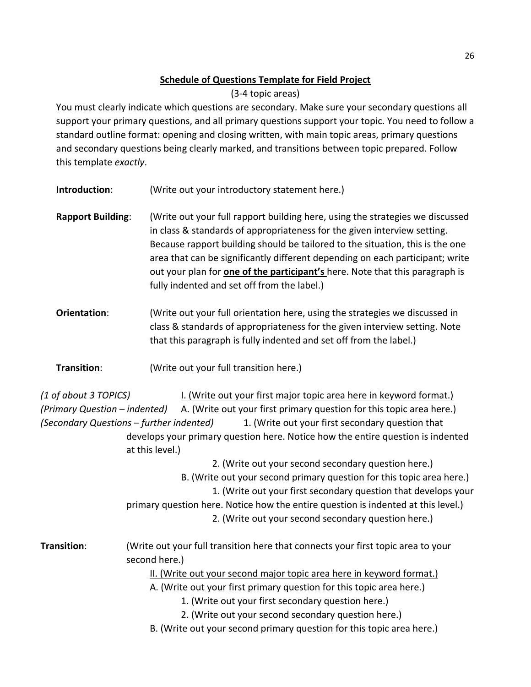# **Schedule of Questions Template for Field Project**

(3-4 topic areas)

You must clearly indicate which questions are secondary. Make sure your secondary questions all support your primary questions, and all primary questions support your topic. You need to follow a standard outline format: opening and closing written, with main topic areas, primary questions and secondary questions being clearly marked, and transitions between topic prepared. Follow this template *exactly*.

**Introduction**: (Write out your introductory statement here.)

- **Rapport Building**: (Write out your full rapport building here, using the strategies we discussed in class & standards of appropriateness for the given interview setting. Because rapport building should be tailored to the situation, this is the one area that can be significantly different depending on each participant; write out your plan for **one of the participant's** here. Note that this paragraph is fully indented and set off from the label.)
- **Orientation:** (Write out your full orientation here, using the strategies we discussed in class & standards of appropriateness for the given interview setting. Note that this paragraph is fully indented and set off from the label.)

**Transition**: (Write out your full transition here.)

*(1 of about 3 TOPICS)* I. (Write out your first major topic area here in keyword format.) *(Primary Question – indented)* A. (Write out your first primary question for this topic area here.) *(Secondary Questions – further indented)* 1. (Write out your first secondary question that develops your primary question here. Notice how the entire question is indented at this level.)

2. (Write out your second secondary question here.)

- B. (Write out your second primary question for this topic area here.)
	- 1. (Write out your first secondary question that develops your
- primary question here. Notice how the entire question is indented at this level.)

2. (Write out your second secondary question here.)

**Transition**: (Write out your full transition here that connects your first topic area to your second here.)

II. (Write out your second major topic area here in keyword format.)

A. (Write out your first primary question for this topic area here.)

1. (Write out your first secondary question here.)

- 2. (Write out your second secondary question here.)
- B. (Write out your second primary question for this topic area here.)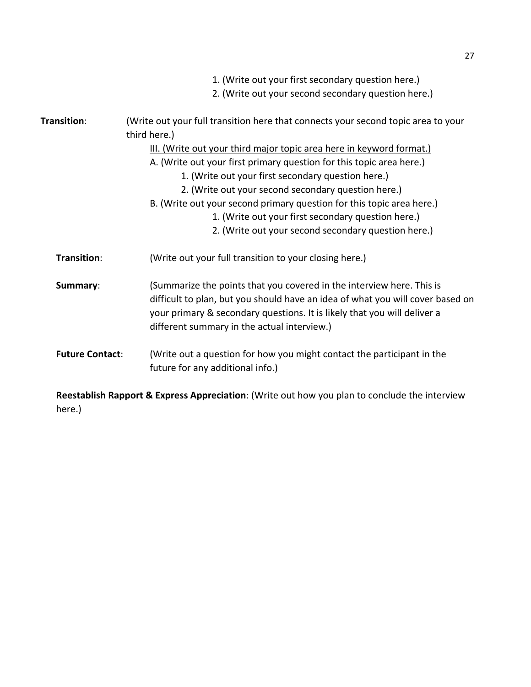|                        | 1. (Write out your first secondary question here.)<br>2. (Write out your second secondary question here.)                                                                                                                                                                          |
|------------------------|------------------------------------------------------------------------------------------------------------------------------------------------------------------------------------------------------------------------------------------------------------------------------------|
|                        |                                                                                                                                                                                                                                                                                    |
| Transition:            | (Write out your full transition here that connects your second topic area to your<br>third here.)                                                                                                                                                                                  |
|                        | III. (Write out your third major topic area here in keyword format.)                                                                                                                                                                                                               |
|                        | A. (Write out your first primary question for this topic area here.)                                                                                                                                                                                                               |
|                        | 1. (Write out your first secondary question here.)                                                                                                                                                                                                                                 |
|                        | 2. (Write out your second secondary question here.)                                                                                                                                                                                                                                |
|                        | B. (Write out your second primary question for this topic area here.)                                                                                                                                                                                                              |
|                        | 1. (Write out your first secondary question here.)                                                                                                                                                                                                                                 |
|                        | 2. (Write out your second secondary question here.)                                                                                                                                                                                                                                |
| Transition:            | (Write out your full transition to your closing here.)                                                                                                                                                                                                                             |
| Summary:               | (Summarize the points that you covered in the interview here. This is<br>difficult to plan, but you should have an idea of what you will cover based on<br>your primary & secondary questions. It is likely that you will deliver a<br>different summary in the actual interview.) |
| <b>Future Contact:</b> | (Write out a question for how you might contact the participant in the<br>future for any additional info.)                                                                                                                                                                         |

**Reestablish Rapport & Express Appreciation**: (Write out how you plan to conclude the interview here.)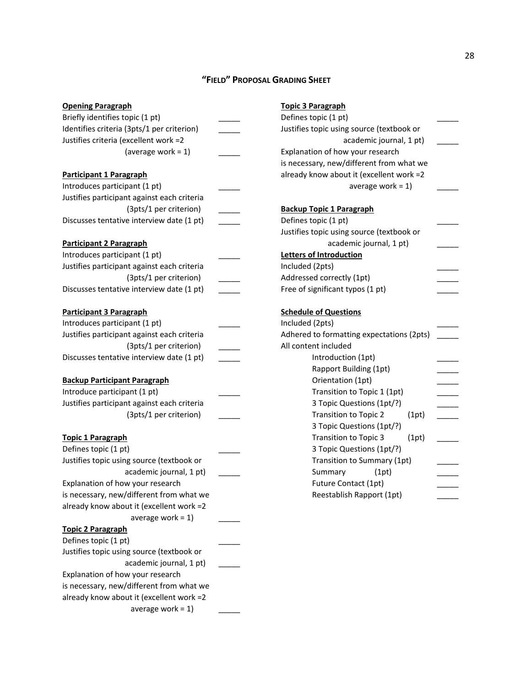# **"FIELD" PROPOSAL GRADING SHEET**

| <b>Opening Paragraph</b>                    | <b>Topic 3 Paragraph</b>                  |
|---------------------------------------------|-------------------------------------------|
| Briefly identifies topic (1 pt)             | Defines topic (1 pt)                      |
| Identifies criteria (3pts/1 per criterion)  | Justifies topic using source (textbook or |
| Justifies criteria (excellent work =2       | academic journal, 1 pt)                   |
| (average work = $1$ )                       | Explanation of how your research          |
|                                             | is necessary, new/different from what we  |
| <b>Participant 1 Paragraph</b>              | already know about it (excellent work =2  |
| Introduces participant (1 pt)               | average work = $1$ )                      |
| Justifies participant against each criteria |                                           |
| (3pts/1 per criterion)                      | <b>Backup Topic 1 Paragraph</b>           |
| Discusses tentative interview date (1 pt)   | Defines topic (1 pt)                      |
|                                             | Justifies topic using source (textbook or |
| <b>Participant 2 Paragraph</b>              | academic journal, 1 pt)                   |
| Introduces participant (1 pt)               | <b>Letters of Introduction</b>            |
| Justifies participant against each criteria | Included (2pts)                           |
| (3pts/1 per criterion)                      | Addressed correctly (1pt)                 |
| Discusses tentative interview date (1 pt)   | Free of significant typos (1 pt)          |
| <b>Participant 3 Paragraph</b>              | <b>Schedule of Questions</b>              |
| Introduces participant (1 pt)               | Included (2pts)                           |
| Justifies participant against each criteria | Adhered to formatting expectations (2pts) |
| (3pts/1 per criterion)                      | All content included                      |
| Discusses tentative interview date (1 pt)   | Introduction (1pt)                        |
|                                             | Rapport Building (1pt)                    |
| <b>Backup Participant Paragraph</b>         | Orientation (1pt)                         |
| Introduce participant (1 pt)                | Transition to Topic 1 (1pt)               |
| Justifies participant against each criteria | 3 Topic Questions (1pt/?)                 |
| (3pts/1 per criterion)                      | <b>Transition to Topic 2</b><br>(1pt)     |
|                                             | 3 Topic Questions (1pt/?)                 |
| <b>Topic 1 Paragraph</b>                    | <b>Transition to Topic 3</b><br>(1pt)     |
| Defines topic (1 pt)                        | 3 Topic Questions (1pt/?)                 |
| Justifies topic using source (textbook or   | Transition to Summary (1pt)               |
| academic journal, 1 pt)                     | Summary<br>(1pt)                          |
| Explanation of how your research            | Future Contact (1pt)                      |
| is necessary, new/different from what we    | Reestablish Rapport (1pt)                 |
| already know about it (excellent work =2    |                                           |
| average work = $1$ )                        |                                           |
| <b>Topic 2 Paragraph</b>                    |                                           |
| Defines topic (1 pt)                        |                                           |
| Justifies topic using source (textbook or   |                                           |
| academic journal, 1 pt)                     |                                           |
| Explanation of how your research            |                                           |
| is necessary, new/different from what we    |                                           |
| already know about it (excellent work =2    |                                           |
| average work = $1$ )                        |                                           |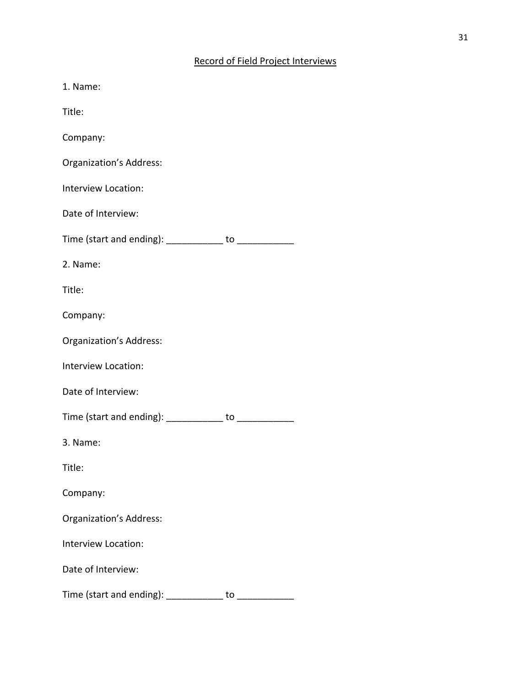| 1. Name:                                                 |    |
|----------------------------------------------------------|----|
| Title:                                                   |    |
| Company:                                                 |    |
| Organization's Address:                                  |    |
| Interview Location:                                      |    |
| Date of Interview:                                       |    |
| Time (start and ending): ____________ to ______________  |    |
| 2. Name:                                                 |    |
| Title:                                                   |    |
| Company:                                                 |    |
| Organization's Address:                                  |    |
| Interview Location:                                      |    |
| Date of Interview:                                       |    |
| Time (start and ending): _____________ to ______________ |    |
| 3. Name:                                                 |    |
| Title:                                                   |    |
| Company:                                                 |    |
| <b>Organization's Address:</b>                           |    |
| Interview Location:                                      |    |
| Date of Interview:                                       |    |
| Time (start and ending): ___________                     | to |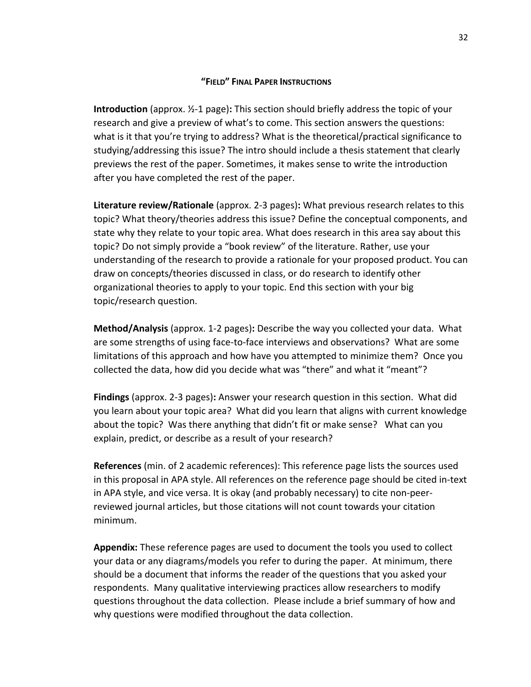#### **"FIELD" FINAL PAPER INSTRUCTIONS**

**Introduction** (approx. ½-1 page)**:** This section should briefly address the topic of your research and give a preview of what's to come. This section answers the questions: what is it that you're trying to address? What is the theoretical/practical significance to studying/addressing this issue? The intro should include a thesis statement that clearly previews the rest of the paper. Sometimes, it makes sense to write the introduction after you have completed the rest of the paper.

**Literature review/Rationale** (approx. 2-3 pages)**:** What previous research relates to this topic? What theory/theories address this issue? Define the conceptual components, and state why they relate to your topic area. What does research in this area say about this topic? Do not simply provide a "book review" of the literature. Rather, use your understanding of the research to provide a rationale for your proposed product. You can draw on concepts/theories discussed in class, or do research to identify other organizational theories to apply to your topic. End this section with your big topic/research question.

**Method/Analysis** (approx. 1-2 pages)**:** Describe the way you collected your data. What are some strengths of using face-to-face interviews and observations? What are some limitations of this approach and how have you attempted to minimize them? Once you collected the data, how did you decide what was "there" and what it "meant"?

**Findings** (approx. 2-3 pages)**:** Answer your research question in this section. What did you learn about your topic area?What did you learn that aligns with current knowledge about the topic? Was there anything that didn't fit or make sense? What can you explain, predict, or describe as a result of your research?

**References** (min. of 2 academic references): This reference page lists the sources used in this proposal in APA style. All references on the reference page should be cited in-text in APA style, and vice versa. It is okay (and probably necessary) to cite non-peerreviewed journal articles, but those citations will not count towards your citation minimum.

**Appendix:** These reference pages are used to document the tools you used to collect your data or any diagrams/models you refer to during the paper. At minimum, there should be a document that informs the reader of the questions that you asked your respondents. Many qualitative interviewing practices allow researchers to modify questions throughout the data collection. Please include a brief summary of how and why questions were modified throughout the data collection.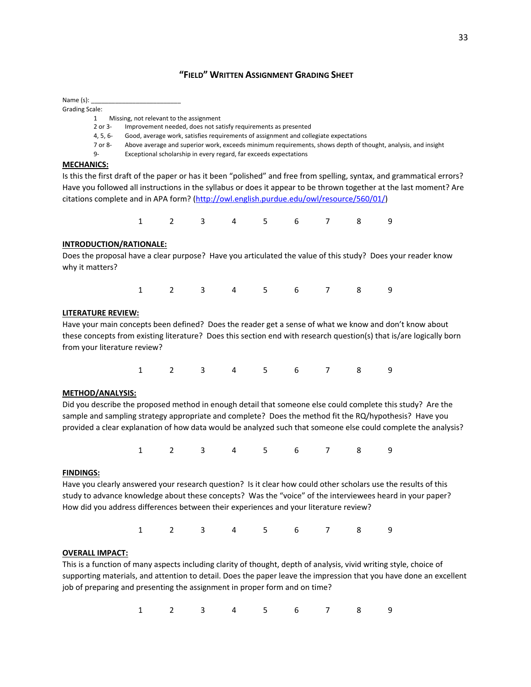#### **"FIELD" WRITTEN ASSIGNMENT GRADING SHEET**

Name $(s)$ : Grading Scale:

1 Missing, not relevant to the assignment

2 or 3- Improvement needed, does not satisfy requirements as presented

4, 5, 6- Good, average work, satisfies requirements of assignment and collegiate expectations

7 or 8- Above average and superior work, exceeds minimum requirements, shows depth of thought, analysis, and insight

9- Exceptional scholarship in every regard, far exceeds expectations

#### **MECHANICS:**

Is this the first draft of the paper or has it been "polished" and free from spelling, syntax, and grammatical errors? Have you followed all instructions in the syllabus or does it appear to be thrown together at the last moment? Are citations complete and in APA form? [\(http://owl.english.purdue.edu/owl/resource/560/01/\)](http://owl.english.purdue.edu/owl/resource/560/01/)

1 2 3 4 5 6 7 8 9

#### **INTRODUCTION/RATIONALE:**

Does the proposal have a clear purpose? Have you articulated the value of this study? Does your reader know why it matters?

1 2 3 4 5 6 7 8 9

#### **LITERATURE REVIEW:**

Have your main concepts been defined? Does the reader get a sense of what we know and don't know about these concepts from existing literature? Does this section end with research question(s) that is/are logically born from your literature review?

1 2 3 4 5 6 7 8 9

#### **METHOD/ANALYSIS:**

Did you describe the proposed method in enough detail that someone else could complete this study? Are the sample and sampling strategy appropriate and complete? Does the method fit the RQ/hypothesis? Have you provided a clear explanation of how data would be analyzed such that someone else could complete the analysis?

1 2 3 4 5 6 7 8 9

#### **FINDINGS:**

Have you clearly answered your research question? Is it clear how could other scholars use the results of this study to advance knowledge about these concepts? Was the "voice" of the interviewees heard in your paper? How did you address differences between their experiences and your literature review?

1 2 3 4 5 6 7 8 9

#### **OVERALL IMPACT:**

This is a function of many aspects including clarity of thought, depth of analysis, vivid writing style, choice of supporting materials, and attention to detail. Does the paper leave the impression that you have done an excellent job of preparing and presenting the assignment in proper form and on time?

1 2 3 4 5 6 7 8 9